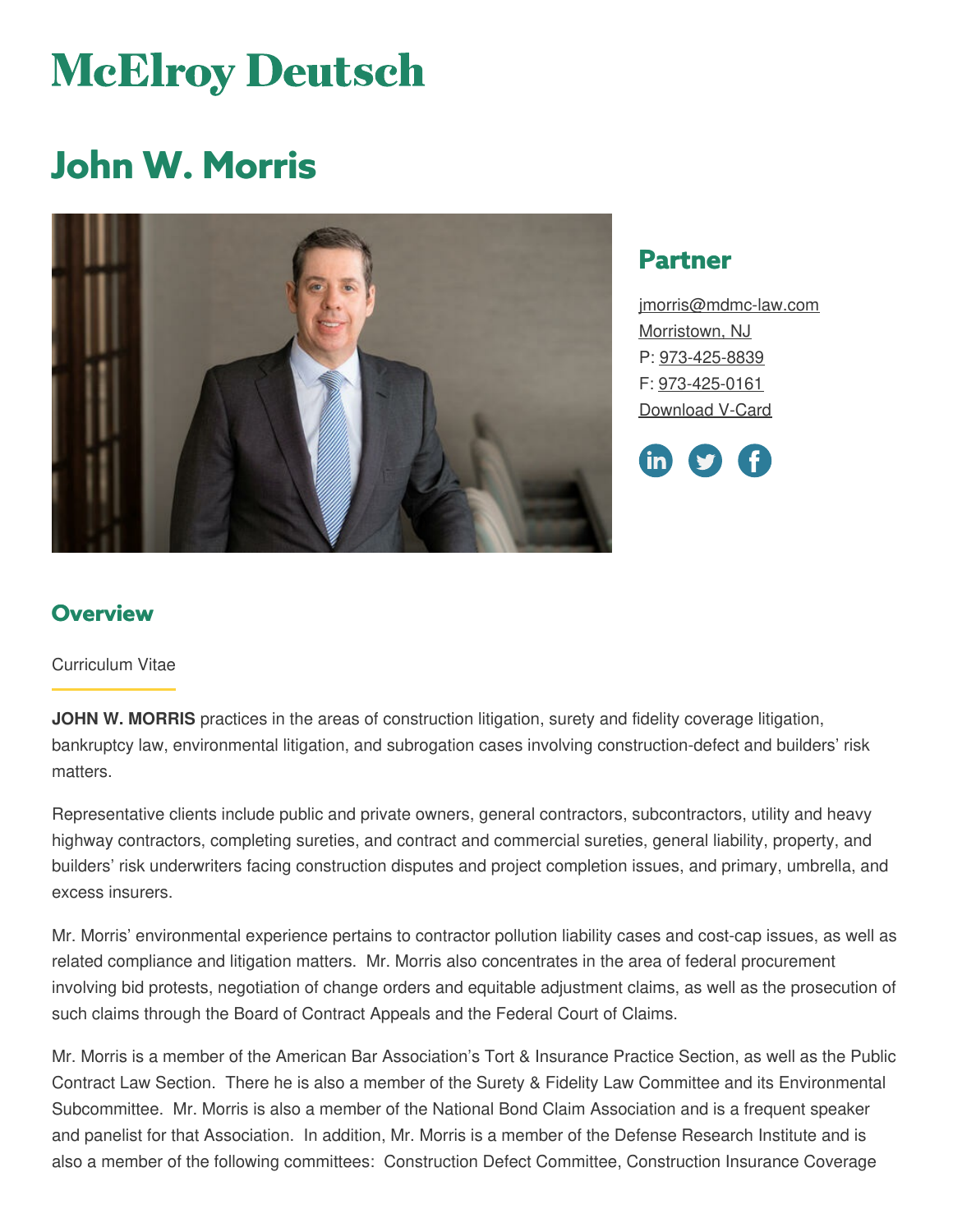# **McElroy Deutsch**

## **John W. Morris**



## **Partner**

[jmorris@mdmc-law.com](mailto:jmorris@mdmc-law.com) [Morristown,](https://www.mdmc-law.com/offices/morristown) NJ P: [973-425-8839](tel:973-425-8839) F: [973-425-0161](tel:973-425-0161) [Download](https://www.mdmc-law.com/node/108/vcard) V-Card



## **Overview**

#### Curriculum Vitae

**JOHN W. MORRIS** practices in the areas of construction litigation, surety and fidelity coverage litigation, bankruptcy law, environmental litigation, and subrogation cases involving construction-defect and builders' risk matters.

Representative clients include public and private owners, general contractors, subcontractors, utility and heavy highway contractors, completing sureties, and contract and commercial sureties, general liability, property, and builders' risk underwriters facing construction disputes and project completion issues, and primary, umbrella, and excess insurers.

Mr. Morris' environmental experience pertains to contractor pollution liability cases and cost-cap issues, as well as related compliance and litigation matters. Mr. Morris also concentrates in the area of federal procurement involving bid protests, negotiation of change orders and equitable adjustment claims, as well as the prosecution of such claims through the Board of Contract Appeals and the Federal Court of Claims.

Mr. Morris is a member of the American Bar Association's Tort & Insurance Practice Section, as well as the Public Contract Law Section. There he is also a member of the Surety & Fidelity Law Committee and its Environmental Subcommittee. Mr. Morris is also a member of the National Bond Claim Association and is a frequent speaker and panelist for that Association. In addition, Mr. Morris is a member of the Defense Research Institute and is also a member of the following committees: Construction Defect Committee, Construction Insurance Coverage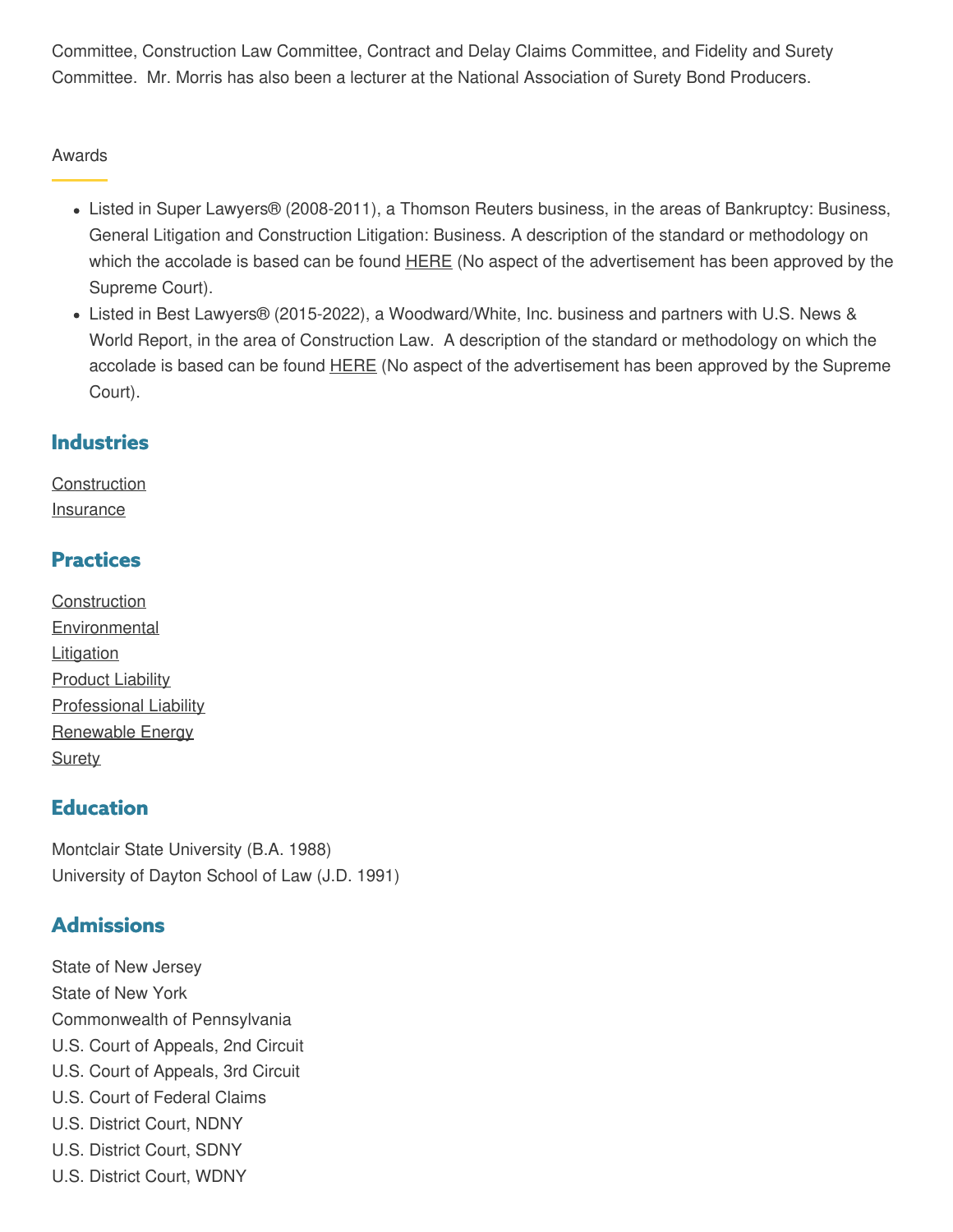Committee, Construction Law Committee, Contract and Delay Claims Committee, and Fidelity and Surety Committee. Mr. Morris has also been a lecturer at the National Association of Surety Bond Producers.

#### Awards

- Listed in Super Lawyers® (2008-2011), a Thomson Reuters business, in the areas of Bankruptcy: Business, General Litigation and Construction Litigation: Business. A description of the standard or methodology on which the accolade is based can be found **[HERE](http://www.superlawyers.com/about/selection_process.html)** (No aspect of the advertisement has been approved by the Supreme Court).
- Listed in Best Lawyers® (2015-2022), a Woodward/White, Inc. business and partners with U.S. News & World Report, in the area of Construction Law. A description of the standard or methodology on which the accolade is based can be found **[HERE](https://www.bestlawyers.com/methodology)** (No aspect of the advertisement has been approved by the Supreme Court).

### **Industries**

**[Construction](https://www.mdmc-law.com/industries/construction) [Insurance](https://www.mdmc-law.com/industries/insurance)** 

## **Practices**

**[Construction](https://www.mdmc-law.com/practices/construction) [Environmental](https://www.mdmc-law.com/practices/environmental) [Litigation](https://www.mdmc-law.com/practices/litigation) [Product](https://www.mdmc-law.com/practices/product-liability) Liability** [Professional](https://www.mdmc-law.com/practices/professional-liability) Liability [Renewable](https://www.mdmc-law.com/practices/renewable-energy) Energy **[Surety](https://www.mdmc-law.com/practices/surety)** 

## **Education**

Montclair State University (B.A. 1988) University of Dayton School of Law (J.D. 1991)

## **Admissions**

State of New Jersey State of New York Commonwealth of Pennsylvania U.S. Court of Appeals, 2nd Circuit U.S. Court of Appeals, 3rd Circuit U.S. Court of Federal Claims U.S. District Court, NDNY U.S. District Court, SDNY U.S. District Court, WDNY